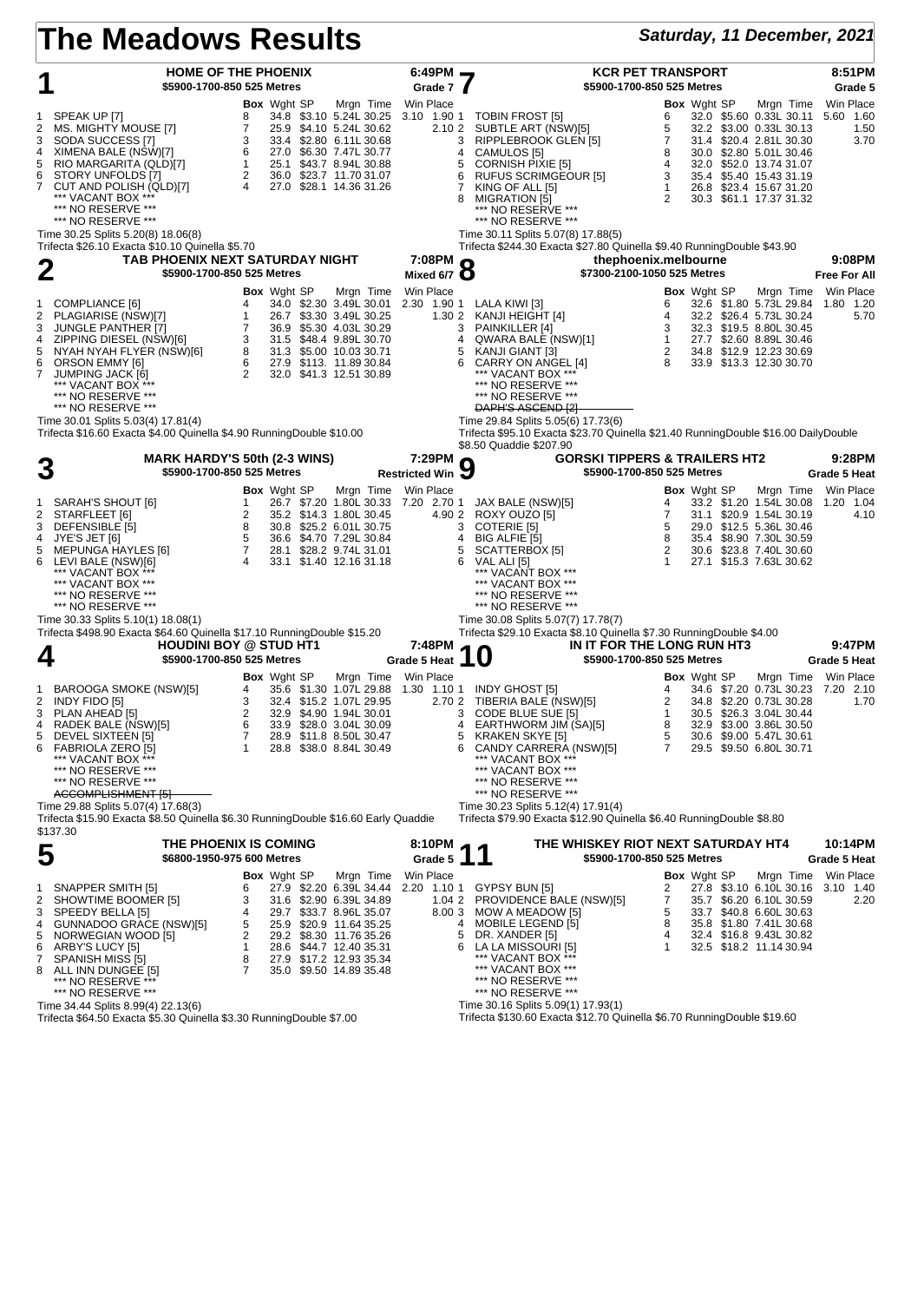| Saturday, 11 December, 2021<br>The Meadows Results |                                                                                                                                                                                                                                                              |                                                                                                                                                                                                                                                                                                        |                                                             |                                                                                                                                                                                                                                                                                                                  |                                                                                                                                                                                                                                                                             |  |  |  |  |
|----------------------------------------------------|--------------------------------------------------------------------------------------------------------------------------------------------------------------------------------------------------------------------------------------------------------------|--------------------------------------------------------------------------------------------------------------------------------------------------------------------------------------------------------------------------------------------------------------------------------------------------------|-------------------------------------------------------------|------------------------------------------------------------------------------------------------------------------------------------------------------------------------------------------------------------------------------------------------------------------------------------------------------------------|-----------------------------------------------------------------------------------------------------------------------------------------------------------------------------------------------------------------------------------------------------------------------------|--|--|--|--|
|                                                    | \$5900-1700-850 525 Metres                                                                                                                                                                                                                                   | HOME OF THE PHOENIX                                                                                                                                                                                                                                                                                    | $6:49PM$ $\rightarrow$<br>Grade 7                           | <b>KCR PET TRANSPORT</b><br>\$5900-1700-850 525 Metres                                                                                                                                                                                                                                                           | 8:51PM<br>Grade 5                                                                                                                                                                                                                                                           |  |  |  |  |
| 1<br>2<br>3<br>4<br>5<br>6<br>7                    | SPEAK UP [7]<br>MS. MIGHTY MOUSE [7]<br>SODA SUCCESS [7]<br>XIMENA BALE (NSW)[7]<br>RIO MARGARITA (QLD)[7]<br>STORY UNFOLDS [7]<br>CUT AND POLISH (QLD)[7]<br>*** VACANT BOX ***<br>*** NO RESERVE ***<br>*** NO RESERVE ***                                 | <b>Box</b> Wght SP<br>Mrgn Time<br>34.8 \$3.10 5.24L 30.25<br>8<br>$\overline{7}$<br>25.9 \$4.10 5.24L 30.62<br>3<br>33.4 \$2.80 6.11L 30.68<br>6<br>27.0 \$6.30 7.47L 30.77<br>1<br>25.1 \$43.7 8.94L 30.88<br>$\overline{2}$<br>36.0 \$23.7 11.70 31.07<br>$\overline{4}$<br>27.0 \$28.1 14.36 31.26 | Win Place<br>2.10 2<br>3<br>4<br>5<br>6<br>$7^{\circ}$<br>8 | <b>Box</b> Wght SP<br>3.10 1.90 1 TOBIN FROST [5]<br>6<br>SUBTLE ART (NSW)[5]<br>5<br>7<br>RIPPLEBROOK GLEN [5]<br>CAMULOS [5]<br>8<br><b>CORNISH PIXIE [5]</b><br>4<br><b>RUFUS SCRIMGEOUR [5]</b><br>3<br>KING OF ALL [5]<br>$\mathbf{1}$<br>MIGRATION [5]<br>2<br>*** NO RESERVE ***<br>*** NO RESERVE ***    | Win Place<br>Mrgn Time<br>32.0 \$5.60 0.33L 30.11<br>5.60 1.60<br>32.2 \$3.00 0.33L 30.13<br>1.50<br>31.4 \$20.4 2.81L 30.30<br>3.70<br>30.0 \$2.80 5.01L 30.46<br>32.0 \$52.0 13.74 31.07<br>35.4 \$5.40 15.43 31.19<br>26.8 \$23.4 15.67 31.20<br>30.3 \$61.1 17.37 31.32 |  |  |  |  |
|                                                    | Time 30.25 Splits 5.20(8) 18.06(8)<br>Trifecta \$26.10 Exacta \$10.10 Quinella \$5.70                                                                                                                                                                        |                                                                                                                                                                                                                                                                                                        |                                                             | Time 30.11 Splits 5.07(8) 17.88(5)<br>Trifecta \$244.30 Exacta \$27.80 Quinella \$9.40 RunningDouble \$43.90                                                                                                                                                                                                     |                                                                                                                                                                                                                                                                             |  |  |  |  |
|                                                    | 2<br>\$5900-1700-850 525 Metres                                                                                                                                                                                                                              | TAB PHOENIX NEXT SATURDAY NIGHT                                                                                                                                                                                                                                                                        | 7:08PM<br>7:08PM<br>Mixed 6/7 8                             | thephoenix.melbourne<br>\$7300-2100-1050 525 Metres                                                                                                                                                                                                                                                              | 9:08PM<br><b>Free For All</b>                                                                                                                                                                                                                                               |  |  |  |  |
| 1<br>2<br>3<br>4<br>5<br>6<br>7                    | COMPLIANCE [6]<br>PLAGIARISE (NSW)[7]<br><b>JUNGLE PANTHER [7]</b><br>ZIPPING DIESEL (NSW)[6]<br>NYAH NYAH FLYER (NSW)[6]<br>ORSON EMMY [6]<br><b>JUMPING JACK [6]</b><br>*** NO RESERVE ***<br>*** NO RESERVE ***                                           | <b>Box</b> Wght SP<br>Mrgn Time<br>4<br>34.0 \$2.30 3.49L 30.01<br>$\mathbf{1}$<br>26.7 \$3.30 3.49L 30.25<br>$\overline{7}$<br>36.9 \$5.30 4.03L 30.29<br>3<br>31.5 \$48.4 9.89L 30.70<br>8<br>31.3 \$5.00 10.03 30.71<br>6<br>27.9 \$113. 11.89 30.84<br>2<br>32.0 \$41.3 12.51 30.89                | Win Place<br>2.30 1.90 1<br>1.30 2<br>3<br>4<br>5<br>6      | <b>Box</b> Wght SP<br>LALA KIWI [3]<br>6<br>4<br>KANJI HEIGHT [4]<br>PAINKILLER [4]<br>3<br>QWARA BALE (NSW)[1]<br>$\mathbf{1}$<br>2<br>KANJI GIANT [3]<br>CARRY ON ANGEL [4]<br>8<br>*** VACANT BOX ***<br>*** NO RESERVE ***<br>*** NO RESERVE ***<br><b>DAPH'S ASGEND [2]</b>                                 | Win Place<br>Mrgn Time<br>32.6 \$1.80 5.73L 29.84<br>1.80 1.20<br>32.2 \$26.4 5.73L 30.24<br>5.70<br>32.3 \$19.5 8.80L 30.45<br>27.7 \$2.60 8.89L 30.46<br>34.8 \$12.9 12.23 30.69<br>33.9 \$13.3 12.30 30.70                                                               |  |  |  |  |
|                                                    | Time 30.01 Splits 5.03(4) 17.81(4)<br>Trifecta \$16.60 Exacta \$4.00 Quinella \$4.90 RunningDouble \$10.00                                                                                                                                                   | <b>MARK HARDY'S 50th (2-3 WINS)</b>                                                                                                                                                                                                                                                                    | 7:29PM                                                      | Time 29.84 Splits 5.05(6) 17.73(6)<br>Trifecta \$95.10 Exacta \$23.70 Quinella \$21.40 RunningDouble \$16.00 DailyDouble<br>\$8.50 Quaddie \$207.90<br><b>GORSKI TIPPERS &amp; TRAILERS HT2</b>                                                                                                                  | 9:28PM                                                                                                                                                                                                                                                                      |  |  |  |  |
|                                                    | 3<br>\$5900-1700-850 525 Metres                                                                                                                                                                                                                              |                                                                                                                                                                                                                                                                                                        | <b>Restricted Win</b>                                       | 9<br>\$5900-1700-850 525 Metres                                                                                                                                                                                                                                                                                  | <b>Grade 5 Heat</b>                                                                                                                                                                                                                                                         |  |  |  |  |
| 1<br>2<br>3<br>4<br>5<br>6                         | SARAH'S SHOUT [6]<br>STARFLEET [6]<br>DEFENSIBLE [5]<br>JYE'S JET [6]<br>MEPUNGA HAYLES [6]<br>LEVI BALE (NSW)[6]<br>*** VACANT BOX **<br>*** VACANT BOX ***<br>*** NO RESERVE ***<br>*** NO RESERVE ***                                                     | <b>Box</b> Wght SP<br>1<br>26.7 \$7.20 1.80L 30.33 7.20 2.70 1<br>$\overline{2}$<br>35.2 \$14.3 1.80L 30.45<br>8<br>30.8 \$25.2 6.01L 30.75<br>5<br>36.6 \$4.70 7.29L 30.84<br>$7\overline{ }$<br>28.1 \$28.2 9.74L 31.01<br>$\overline{4}$<br>33.1 \$1.40 12.16 31.18                                 | Mrgn Time Win Place<br>3<br>4<br>5<br>6                     | <b>Box</b> Wght SP<br>JAX BALE (NSW)[5]<br>4<br>4.90 2 ROXY OUZO [5]<br>7<br>31.1<br>COTERIE [5]<br>5<br>8<br>BIG ALFIE [5]<br>35.4<br>$\overline{2}$<br>SCATTERBOX [5]<br>VAL ALI [5]<br>1<br>*** VACANT BOX ***<br>*** VACANT BOX ***<br>*** NO RESERVE ***<br>*** NO RESERVE ***                              | Win Place<br>Mrgn Time<br>33.2 \$1.20 1.54L 30.08<br>1.20 1.04<br>\$20.9 1.54L 30.19<br>4.10<br>29.0 \$12.5 5.36L 30.46<br>\$8.90 7.30L 30.59<br>30.6 \$23.8 7.40L 30.60<br>27.1 \$15.3 7.63L 30.62                                                                         |  |  |  |  |
|                                                    | Time 30.33 Splits 5.10(1) 18.08(1)<br>Trifecta \$498.90 Exacta \$64.60 Quinella \$17.10 RunningDouble \$15.20<br>4<br>\$5900-1700-850 525 Metres                                                                                                             | <b>HOUDINI BOY @ STUD HT1</b>                                                                                                                                                                                                                                                                          | 7:48PM<br>Grade 5 Heat                                      | Time 30.08 Splits 5.07(7) 17.78(7)<br>Trifecta \$29.10 Exacta \$8.10 Quinella \$7.30 RunningDouble \$4.00<br>IN IT FOR THE LONG RUN HT3<br>$\boldsymbol{0}$<br>\$5900-1700-850 525 Metres<br>$\blacksquare$                                                                                                      | 9:47PM<br><b>Grade 5 Heat</b>                                                                                                                                                                                                                                               |  |  |  |  |
| 1<br>2<br>4<br>5<br>6                              | BAROOGA SMOKE (NSW)[5]<br>INDY FIDO [5]<br>3 PLAN AHEAD [5]<br>RADEK BALE (NSW)[5]<br>DEVEL SIXTEEN [5]<br>FABRIOLA ZERO [5]<br>*** VACANT BOX ***<br>*** NO RESERVE ***<br>*** NO RESERVE ***<br>ACCOMPLISHMENT [5]                                         | <b>Box</b> Wght SP<br>35.6 \$1.30 1.07L 29.88 1.30 1.10 1 INDY GHOST [5]<br>4<br>3<br>32.4 \$15.2 1.07L 29.95<br>$\overline{2}$<br>32.9 \$4.90 1.94L 30.01<br>6<br>33.9 \$28.0 3.04L 30.09<br>7<br>28.9 \$11.8 8.50L 30.47<br>28.8 \$38.0 8.84L 30.49<br>-1                                            | Mrgn Time Win Place<br>3<br>4<br>5<br>6                     | <b>Box</b> Wght SP<br>4<br>2.70 2 TIBERIA BALE (NSW)[5]<br>2<br>CODE BLUE SUE [5]<br>$\mathbf{1}$<br>EARTHWORM JIM (SA)[5]<br>8<br><b>KRAKEN SKYE [5]</b><br>5<br>CANDY CARRERA (NSW)[5]<br>7<br>*** VACANT BOX ***<br>*** NO RESERVE ***<br>*** NO RESERVE ***                                                  | Win Place<br>Mrgn Time<br>34.6 \$7.20 0.73L 30.23 7.20 2.10<br>34.8 \$2.20 0.73L 30.28<br>1.70<br>30.5 \$26.3 3.04L 30.44<br>32.9 \$3.00 3.86L 30.50<br>30.6 \$9.00 5.47L 30.61<br>29.5 \$9.50 6.80L 30.71                                                                  |  |  |  |  |
|                                                    | Time 29.88 Splits 5.07(4) 17.68(3)<br>Trifecta \$15.90 Exacta \$8.50 Quinella \$6.30 RunningDouble \$16.60 Early Quaddie<br>\$137.30                                                                                                                         | THE PHOENIX IS COMING                                                                                                                                                                                                                                                                                  |                                                             | Time 30.23 Splits 5.12(4) 17.91(4)<br>Trifecta \$79.90 Exacta \$12.90 Quinella \$6.40 RunningDouble \$8.80<br>THE WHISKEY RIOT NEXT SATURDAY HT4                                                                                                                                                                 | 10:14PM                                                                                                                                                                                                                                                                     |  |  |  |  |
|                                                    | 5<br>\$6800-1950-975 600 Metres                                                                                                                                                                                                                              |                                                                                                                                                                                                                                                                                                        | 8:10PM<br>Grade 5                                           | \$5900-1700-850 525 Metres                                                                                                                                                                                                                                                                                       | Grade 5 Heat                                                                                                                                                                                                                                                                |  |  |  |  |
| 1<br>2<br>3<br>4<br>5<br>6<br>7<br>8               | SNAPPER SMITH [5]<br>SHOWTIME BOOMER [5]<br>SPEEDY BELLA [5]<br>GUNNADOO GRACE (NSW)[5]<br>NORWEGIAN WOOD [5]<br>ARBY'S LUCY [5]<br>SPANISH MISS [5]<br>ALL INN DUNGEE [5]<br>*** NO RESERVE ***<br>*** NO RESERVE ***<br>Time 34.44 Splits 8.99(4) 22.13(6) | <b>Box</b> Wght SP<br>Mrgn Time<br>27.9 \$2.20 6.39L 34.44<br>6<br>3<br>31.6 \$2.90 6.39L 34.89<br>29.7 \$33.7 8.96L 35.07<br>4<br>5<br>25.9 \$20.9 11.64 35.25<br>2<br>29.2 \$8.30 11.76 35.26<br>1<br>28.6 \$44.7 12.40 35.31<br>8<br>27.9 \$17.2 12.93 35.34<br>35.0 \$9.50 14.89 35.48<br>7        | Win Place<br>1.042<br>4<br>5<br>6                           | <b>Box</b> Wght SP<br>2.20 1.10 1 GYPSY BUN [5]<br>2<br>PROVIDENCE BALE (NSW)[5]<br>7<br>5<br>8.00 3 MOW A MEADOW [5]<br><b>MOBILE LEGEND [5]</b><br>8<br>DR. XANDER [5]<br>4<br>LA LA MISSOURI [5]<br>1<br>*** VACANT BOX ***<br>*** NO RESERVE ***<br>*** NO RESERVE ***<br>Time 30.16 Splits 5.09(1) 17.93(1) | Win Place<br>Mrgn Time<br>27.8 \$3.10 6.10L 30.16<br>3.10 1.40<br>35.7 \$6.20 6.10L 30.59<br>2.20<br>33.7 \$40.8 6.60L 30.63<br>35.8 \$1.80 7.41L 30.68<br>32.4 \$16.8 9.43L 30.82<br>32.5 \$18.2 11.14 30.94                                                               |  |  |  |  |

Time 34.44 Splits 8.99(4) 22.13(6) Trifecta \$64.50 Exacta \$5.30 Quinella \$3.30 RunningDouble \$7.00

Time 30.16 Splits 5.09(1) 17.93(1) Trifecta \$130.60 Exacta \$12.70 Quinella \$6.70 RunningDouble \$19.60